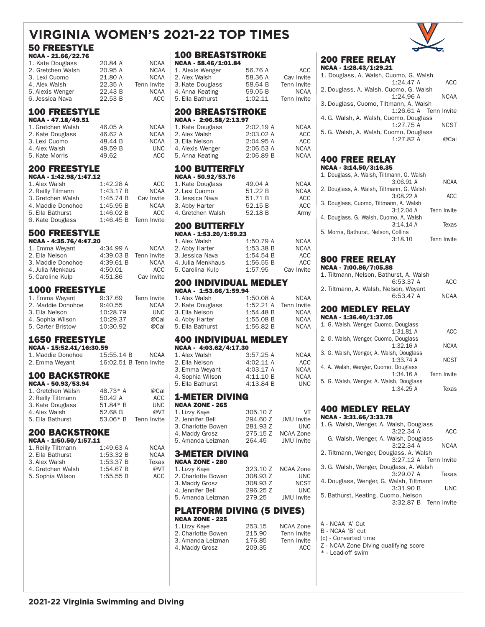# **VIRGINIA WOMEN'S 2021-22 TOP TIMES**

## 50 FREESTYLE

| NCAA - 21.66/22.76 |         |             |
|--------------------|---------|-------------|
| 1. Kate Douglass   | 20.84 A | <b>NCAA</b> |
| 2. Gretchen Walsh  | 20.95 A | <b>NCAA</b> |
| 3. Lexi Cuomo      | 21.80 A | <b>NCAA</b> |
| 4. Alex Walsh      | 22.35 A | Tenn Invite |
| 5. Alexis Wenger   | 22.43 B | <b>NCAA</b> |
| 6. Jessica Nava    | 22.53 B | ACC         |

### 100 FREESTYLE

| 46.05 A | <b>NCAA</b> |
|---------|-------------|
| 46.62 A | <b>NCAA</b> |
| 48.44 B | <b>NCAA</b> |
| 49.59 B | <b>UNC</b>  |
| 49.62   | ACC         |
|         |             |

### 200 FREESTYLE

| NCAA - 1:42.98/1:47.12 |                       |             |
|------------------------|-----------------------|-------------|
| 1. Alex Walsh          | 1:42.28 A             | ACC         |
| 2. Reilly Tilmann      | 1:43.17 B             | <b>NCAA</b> |
| 3. Gretchen Walsh      | 1:45.74 B             | Cav Invite  |
| 4. Maddie Donohoe      | 1:45.95 B             | <b>NCAA</b> |
| 5. Ella Bathurst       | 1:46.02 B             | ACC         |
| 6. Kate Douglass       | 1:46.45 B Tenn Invite |             |

### 500 FREESTYLE

### NCAA - 4:35.76/4:47.20

| 1. Emma Weyant    | 4:34.99 A | <b>NCAA</b> |
|-------------------|-----------|-------------|
| 2. Ella Nelson    | 4:39.03 B | Tenn Invite |
| 3. Maddie Donohoe | 4:39.61 B | <b>NCAA</b> |
| 4. Julia Menkaus  | 4:50.01   | ACC         |
| 5. Caroline Kulp  | 4:51.86   | Cav Invite  |
|                   |           |             |

### 1000 FREESTYLE

| 1. Emma Weyant    | 9:37.69  | Tenn Invite |
|-------------------|----------|-------------|
| 2. Maddie Donohoe | 9:40.55  | <b>NCAA</b> |
| 3. Ella Nelson    | 10:28.79 | <b>UNC</b>  |
| 4. Sophia Wilson  | 10:29.37 | @Cal        |
| 5. Carter Bristow | 10:30.92 | @Cal        |

## 1650 FREESTYLE

| NCAA - 15:52.41/16:30.59 |                        |             |
|--------------------------|------------------------|-------------|
| 1. Maddie Donohoe        | 15:55.14 B             | <b>NCAA</b> |
| 2. Emma Weyant           | 16:02.51 B Tenn Invite |             |

## 100 BACKSTROKE

| 48.73* A   | @Cal        |
|------------|-------------|
| 50.42 A    | ACC         |
| 51.84* B   | <b>UNC</b>  |
| 52.68 B    | @VT         |
| $53.06* B$ | Tenn Invite |
|            |             |

## 200 BACKSTROKE

| NCAA - 1:50.50/1:57.11 |             |
|------------------------|-------------|
| 1:49.63 A              | <b>NCAA</b> |
| 1:53.32 B              | <b>NCAA</b> |
| 1:53.37 B              | Texas       |
| 1:54.67 B              | @VT         |
| 1:55.55 B              | ACC         |
|                        |             |

#### 100 BREASTSTROKE N<sub>C</sub>

| NCAA - 58.46/1:01.84 |         |             |
|----------------------|---------|-------------|
| 1. Alexis Wenger     | 56.76 A | ACC         |
| 2. Alex Walsh        | 58.36 A | Cav Invite  |
| 3. Kate Douglass     | 58.64 B | Tenn Invite |
| 4. Anna Keating      | 59.05 B | <b>NCAA</b> |
| 5. Ella Bathurst     | 1:02.11 | Tenn Invite |

#### 200 BREASTSTROKE NCAA - 2:06.58/2:13.97

| 2:02.19A  | <b>NCAA</b> |
|-----------|-------------|
| 2:03.02A  | ACC         |
| 2:04.95A  | ACC         |
| 2:06.53A  | <b>NCAA</b> |
| 2:06.89 B | <b>NCAA</b> |
|           |             |

# 100 BUTTERFLY

| 49.04 A | <b>NCAA</b> |
|---------|-------------|
| 51.22 B | <b>NCAA</b> |
| 51.71 B | ACC         |
| 52.15 B | ACC         |
| 52.18 B | Army        |
|         |             |

# 200 BUTTERFLY<br>NGAA - 1:53.20/1:59.23

| NCAA - 1:53.20/1:59.23 |           |             |  |
|------------------------|-----------|-------------|--|
| 1. Alex Walsh          | 1:50.79 A | <b>NCAA</b> |  |
| 2. Abby Harter         | 1:53.38 B | <b>NCAA</b> |  |
| 3. Jessica Nava        | 1:54.54B  | ACC         |  |
| 4. Julia Menkhaus      | 1:56.55 B | ACC         |  |
| 5. Carolina Kulp       | 1:57.95   | Cav Invite  |  |
|                        |           |             |  |

#### 200 INDIVIDUAL MEDLEY NCAA - 1:53.66/1:59.94

| IVAN - 1.39.00/1.39.94 |                     |             |
|------------------------|---------------------|-------------|
| 1. Alex Walsh          | 1:50.08 A           | <b>NCAA</b> |
| 2. Kate Douglass       | $1:52.21 \text{ A}$ | Tenn Invite |
| 3. Ella Nelson         | 1:54.48 B           | <b>NCAA</b> |
| 4. Abby Harter         | 1:55.08 B           | <b>NCAA</b> |
| 5. Ella Bathurst       | 1:56.82 B           | <b>NCAA</b> |

### 400 INDIVIDUAL MEDLEY NCAA - 4:03.62/4:17.30

| 1. Alex Walsh    | 3:57.25A  | <b>NCAA</b> |
|------------------|-----------|-------------|
| 2. Ella Nelson   | 4:02.11A  | ACC         |
| 3. Emma Weyant   | 4:03.17 A | <b>NCAA</b> |
| 4. Sophia Wilson | 4:11.10 B | <b>NCAA</b> |
| 5. Ella Bathurst | 4:13.84 B | UNC         |

# **1-METER DIVING**<br>NCAA ZONE - 265

| <b>NCAA ZONE - 265</b> |          |                   |
|------------------------|----------|-------------------|
| 1. Lizzy Kaye          | 305.10 Z | VT                |
| 2. Jennifer Bell       | 294.60 Z | <b>JMU</b> Invite |
| 3. Charlotte Bowen     | 281.93 Z | UNC               |
| 4. Maddy Grosz         | 275.15 Z | NCAA Zone         |
| 5. Amanda Leizman      | 264.45   | <b>JMU</b> Invite |

### 3-METER DIVING

| <b>NCAA ZONE - 280</b> |          |                    |
|------------------------|----------|--------------------|
| 1. Lizzy Kaye          |          | 323.10 Z NCAA Zone |
| 2. Charlotte Bowen     | 308.93 Z | <b>UNC</b>         |
| 3. Maddy Grosz         | 308.93 Z | <b>NCST</b>        |
| 4. Jennifer Bell       | 296.25 Z | <b>UNC</b>         |
| 5. Amanda Leizman      | 279.25   | <b>JMU</b> Invite  |

# **PLATFORM DIVING (5 DIVES)**<br>NGAA ZONE - 225

| 253.15 | <b>NCAA Zone</b> |
|--------|------------------|
| 215.90 | Tenn Invite      |
| 176.85 | Tenn Invite      |
| 209.35 | ACC              |
|        |                  |

## 200 FREE RELAY

| NCAA - 1:28.43/1:29.21                 |             |
|----------------------------------------|-------------|
| 1. Douglass, A. Walsh, Cuomo, G. Walsh |             |
| 1:24.47A                               | <b>ACC</b>  |
| 2. Douglass, A. Walsh, Cuomo, G. Walsh |             |
| 1:24.96A                               | <b>NCAA</b> |
| 3. Douglass, Cuomo, Tiltmann, A. Walsh |             |
| 1:26.61 A Tenn Invite                  |             |
| 4. G. Walsh, A. Walsh, Cuomo, Douglass |             |
| 1:27.75A                               | <b>NCST</b> |
| 5. G. Walsh, A. Walsh, Cuomo, Douglass |             |
| 1:27.82A                               | @Cal        |
|                                        |             |

#### 400 FREE RELAY NCAA - 3:14.50/3:16.35

| <b>IANN - 9:TH'SAN 9:TO'99</b>            |                         |             |
|-------------------------------------------|-------------------------|-------------|
| 1. Douglass, A. Walsh, Tiltmann, G. Walsh |                         |             |
|                                           | 3:06.91A                | <b>NCAA</b> |
| 2. Douglass, A. Walsh, Tiltmann, G. Walsh |                         |             |
|                                           | 3:08.22A                | ACC         |
| 3. Douglass, Cuomo, Tiltmann, A. Walsh    |                         |             |
|                                           | 3:12.04A<br>Tenn Invite |             |
| 4. Douglass, G. Walsh, Cuomo, A. Walsh    |                         |             |
|                                           | 3:14.14A                | Texas       |
| 5. Morris, Bathurst, Nelson, Collins      |                         |             |
|                                           | 3:18.10<br>Tenn Invite  |             |
|                                           |                         |             |

## 800 FREE RELAY

| NCAA - 7:00.86/7:05.88                  |             |
|-----------------------------------------|-------------|
| 1. Tiltmann. Nelson. Bathurst. A. Walsh |             |
| 6:53.37A                                | ACC         |
| 2. Tiltmann, A. Walsh, Nelson, Weyant   |             |
| 6:53.47A                                | <b>NCAA</b> |
| 200 MEDLEY RELAY                        |             |
|                                         |             |

| NCAA - 1:36.40/1:37.05                  |             |
|-----------------------------------------|-------------|
| 1. G. Walsh, Wenger, Cuomo, Douglass    |             |
| 1:31.81A                                | ACC         |
| 2. G. Walsh, Wenger, Cuomo, Douglass    |             |
| 1:32.16A                                | <b>NCAA</b> |
| 3. G. Walsh, Wenger, A. Walsh, Douglass |             |
| 1:33.74A                                | <b>NCST</b> |
| 4. A. Walsh, Wenger, Cuomo, Douglass    |             |
| 1:34.16A                                | Tenn Invite |
| 5. G. Walsh, Wenger, A. Walsh, Douglass |             |
| 1:34.25A                                | Texas       |
|                                         |             |

#### 400 MEDLEY RELAY NCA<sub>A</sub>

| NGAA - 3:31.00/3:33.78                  |             |
|-----------------------------------------|-------------|
| 1. G. Walsh, Wenger, A. Walsh, Douglass |             |
| 3:22.34A                                | <b>ACC</b>  |
| G. Walsh, Wenger, A. Walsh, Douglass    |             |
| 3:22.34A                                | <b>NCAA</b> |
| 2. Tiltmann, Wenger, Douglass, A. Walsh |             |
| 3:27.12 A Tenn Invite                   |             |
| 3. G. Walsh, Wenger, Douglass, A. Walsh |             |
| 3:29.07A                                | Texas       |
| 4. Douglass, Wenger, G. Walsh, Tiltmann |             |
| 3:31.90 B                               | <b>UNC</b>  |
| 5. Bathurst, Keating, Cuomo, Nelson     |             |
| 3:32.87 B Tenn Invite                   |             |
|                                         |             |

- B NCAA 'B' cut
- (c) Converted time
- Z NCAA Zone Diving qualifying score
- \* Lead-off swim